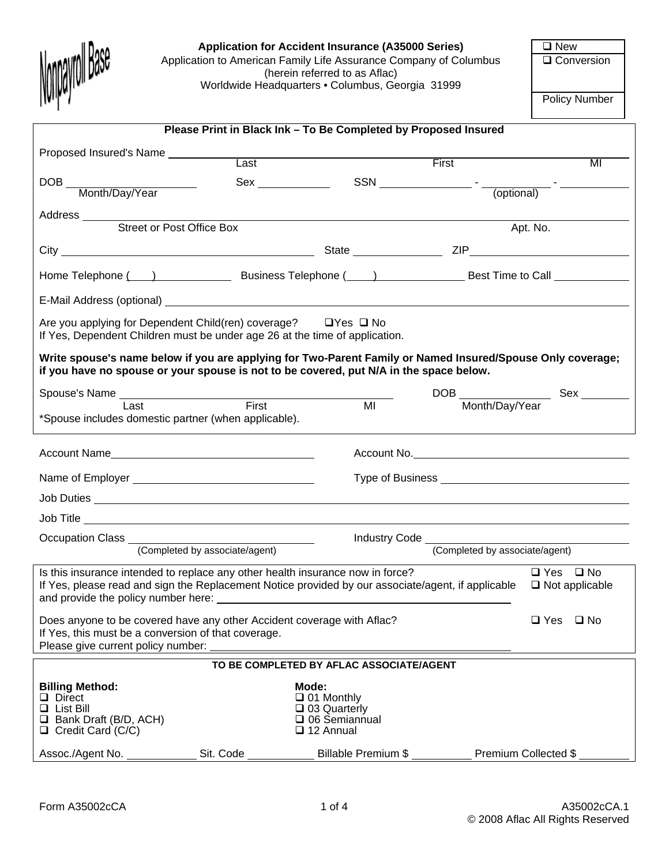

### Application for Accident Insurance (A35000 Series) **EXECUTE:** New

Application to American Family Life Assurance Company of Columbus (herein referred to as Aflac) Worldwide Headquarters • Columbus, Georgia 31999

Q Conversion

Policy Number

| Please Print in Black Ink - To Be Completed by Proposed Insured                                                                                                                                                                  |           |                                                                                     |                     |                                                                                                                                                                                                                                                                                                                                                                                                                                                                                                                                                                                                                                          |
|----------------------------------------------------------------------------------------------------------------------------------------------------------------------------------------------------------------------------------|-----------|-------------------------------------------------------------------------------------|---------------------|------------------------------------------------------------------------------------------------------------------------------------------------------------------------------------------------------------------------------------------------------------------------------------------------------------------------------------------------------------------------------------------------------------------------------------------------------------------------------------------------------------------------------------------------------------------------------------------------------------------------------------------|
| Proposed Insured's Name                                                                                                                                                                                                          |           |                                                                                     |                     |                                                                                                                                                                                                                                                                                                                                                                                                                                                                                                                                                                                                                                          |
|                                                                                                                                                                                                                                  | Last      |                                                                                     | First               | MI                                                                                                                                                                                                                                                                                                                                                                                                                                                                                                                                                                                                                                       |
| DOB Month/Day/Year                                                                                                                                                                                                               |           |                                                                                     |                     | $SSN \underline{\hspace{2cm}} \underline{\hspace{2cm}} \underline{\hspace{2cm}} \underline{\hspace{2cm}} \underline{\hspace{2cm}} \underline{\hspace{2cm}} \underline{\hspace{2cm}} \underline{\hspace{2cm}} \underline{\hspace{2cm}} \underline{\hspace{2cm}} \underline{\hspace{2cm}} \underline{\hspace{2cm}} \underline{\hspace{2cm}} \underline{\hspace{2cm}} \underline{\hspace{2cm}} \underline{\hspace{2cm}} \underline{\hspace{2cm}} \underline{\hspace{2cm}} \underline{\hspace{2cm}} \underline{\hspace{2cm}} \underline{\hspace{2cm}} \underline{\hspace{2cm}} \underline{\hspace{2cm}} \underline{\hspace{2cm}} \underline$ |
|                                                                                                                                                                                                                                  |           |                                                                                     |                     |                                                                                                                                                                                                                                                                                                                                                                                                                                                                                                                                                                                                                                          |
| Address<br>Street or Post Office Box                                                                                                                                                                                             |           |                                                                                     |                     | Apt. No.                                                                                                                                                                                                                                                                                                                                                                                                                                                                                                                                                                                                                                 |
|                                                                                                                                                                                                                                  |           |                                                                                     |                     |                                                                                                                                                                                                                                                                                                                                                                                                                                                                                                                                                                                                                                          |
|                                                                                                                                                                                                                                  |           |                                                                                     |                     |                                                                                                                                                                                                                                                                                                                                                                                                                                                                                                                                                                                                                                          |
|                                                                                                                                                                                                                                  |           |                                                                                     |                     |                                                                                                                                                                                                                                                                                                                                                                                                                                                                                                                                                                                                                                          |
| Are you applying for Dependent Child(ren) coverage? $\Box$ Yes $\Box$ No<br>If Yes, Dependent Children must be under age 26 at the time of application.                                                                          |           |                                                                                     |                     |                                                                                                                                                                                                                                                                                                                                                                                                                                                                                                                                                                                                                                          |
| Write spouse's name below if you are applying for Two-Parent Family or Named Insured/Spouse Only coverage;<br>if you have no spouse or your spouse is not to be covered, put N/A in the space below.                             |           |                                                                                     |                     |                                                                                                                                                                                                                                                                                                                                                                                                                                                                                                                                                                                                                                          |
| Spouse's Name<br>Last  Last  Eirst  Last  Last  Last  Last  Last  Last  Last  Last  Last  Last  Last  Last  Last  Last  Last  Last  Last  Last  Last  Last  Last  Last  Last  Last  Last  Last  Last  Last  Last  Last  Last  La |           |                                                                                     |                     | DOB Month/Day/Year Sex ________                                                                                                                                                                                                                                                                                                                                                                                                                                                                                                                                                                                                          |
| *Spouse includes domestic partner (when applicable).                                                                                                                                                                             |           | $\overline{M}$                                                                      |                     |                                                                                                                                                                                                                                                                                                                                                                                                                                                                                                                                                                                                                                          |
| Account Name                                                                                                                                                                                                                     |           |                                                                                     |                     |                                                                                                                                                                                                                                                                                                                                                                                                                                                                                                                                                                                                                                          |
|                                                                                                                                                                                                                                  |           |                                                                                     |                     |                                                                                                                                                                                                                                                                                                                                                                                                                                                                                                                                                                                                                                          |
|                                                                                                                                                                                                                                  |           |                                                                                     |                     |                                                                                                                                                                                                                                                                                                                                                                                                                                                                                                                                                                                                                                          |
|                                                                                                                                                                                                                                  |           |                                                                                     |                     |                                                                                                                                                                                                                                                                                                                                                                                                                                                                                                                                                                                                                                          |
| Occupation Class (Completed by associate/agent)                                                                                                                                                                                  |           |                                                                                     |                     | Industry Code (Completed by associate/agent)                                                                                                                                                                                                                                                                                                                                                                                                                                                                                                                                                                                             |
|                                                                                                                                                                                                                                  |           |                                                                                     |                     |                                                                                                                                                                                                                                                                                                                                                                                                                                                                                                                                                                                                                                          |
| Is this insurance intended to replace any other health insurance now in force?<br>If Yes, please read and sign the Replacement Notice provided by our associate/agent, if applicable                                             |           |                                                                                     |                     | $\Box$ Yes $\Box$ No<br>$\Box$ Not applicable                                                                                                                                                                                                                                                                                                                                                                                                                                                                                                                                                                                            |
| Does anyone to be covered have any other Accident coverage with Aflac?<br>$\square$ Yes<br>If Yes, this must be a conversion of that coverage.<br>Please give current policy number:                                             |           |                                                                                     |                     | $\square$ No                                                                                                                                                                                                                                                                                                                                                                                                                                                                                                                                                                                                                             |
| TO BE COMPLETED BY AFLAC ASSOCIATE/AGENT                                                                                                                                                                                         |           |                                                                                     |                     |                                                                                                                                                                                                                                                                                                                                                                                                                                                                                                                                                                                                                                          |
| <b>Billing Method:</b><br>D Direct<br>$\Box$ List Bill<br>$\Box$ Bank Draft (B/D, ACH)<br>$\Box$ Credit Card (C/C)<br>Assoc./Agent No.                                                                                           | Sit. Code | Mode:<br>$\Box$ 01 Monthly<br>□ 03 Quarterly<br>□ 06 Semiannual<br>$\Box$ 12 Annual | Billable Premium \$ | Premium Collected \$                                                                                                                                                                                                                                                                                                                                                                                                                                                                                                                                                                                                                     |
|                                                                                                                                                                                                                                  |           |                                                                                     |                     |                                                                                                                                                                                                                                                                                                                                                                                                                                                                                                                                                                                                                                          |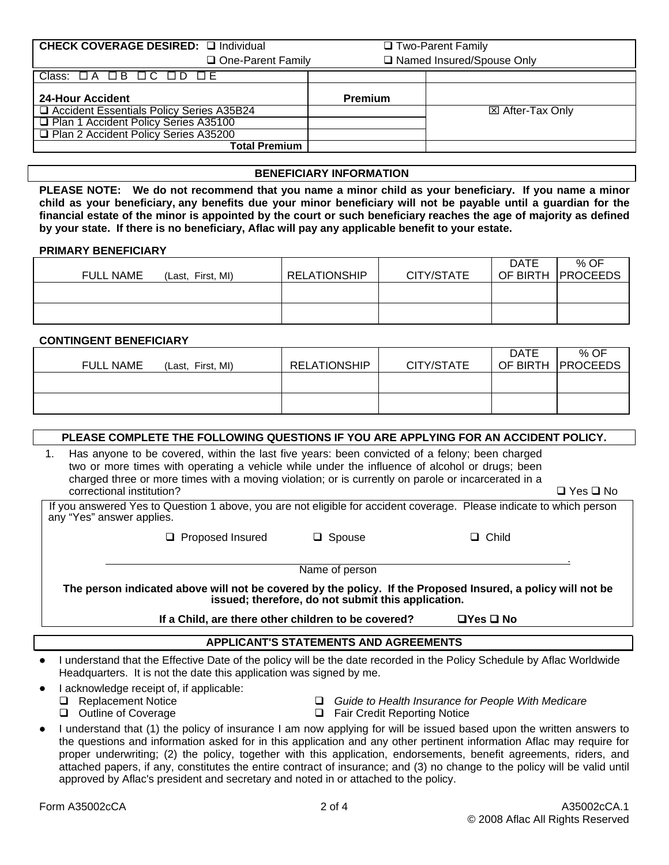| CHECK COVERAGE DESIRED: La Individual    | □ Two-Parent Family |                             |
|------------------------------------------|---------------------|-----------------------------|
| One-Parent Family                        |                     | □ Named Insured/Spouse Only |
| Class: 0A 0B 0C 0D 0E                    |                     |                             |
| <b>24-Hour Accident</b>                  | <b>Premium</b>      |                             |
| Accident Essentials Policy Series A35B24 |                     | <b>⊠ After-Tax Only</b>     |
| □ Plan 1 Accident Policy Series A35100   |                     |                             |
| □ Plan 2 Accident Policy Series A35200   |                     |                             |
| <b>Total Premium</b>                     |                     |                             |

#### **BENEFICIARY INFORMATION**

**PLEASE NOTE: We do not recommend that you name a minor child as your beneficiary. If you name a minor child as your beneficiary, any benefits due your minor beneficiary will not be payable until a guardian for the financial estate of the minor is appointed by the court or such beneficiary reaches the age of majority as defined by your state. If there is no beneficiary, Aflac will pay any applicable benefit to your estate.** 

#### **PRIMARY BENEFICIARY**

| FULL NAME<br>(Last, First, MI) | <b>RELATIONSHIP</b> | CITY/STATE | DATE<br>OF BIRTH | % OF<br><b>PROCEEDS</b> |
|--------------------------------|---------------------|------------|------------------|-------------------------|
|                                |                     |            |                  |                         |
|                                |                     |            |                  |                         |

#### **CONTINGENT BENEFICIARY**

| <b>FULL NAME</b><br>(Last, First, MI) | <b>RELATIONSHIP</b> | CITY/STATE | <b>DATE</b> | % OF<br>OF BIRTH   PROCEEDS |
|---------------------------------------|---------------------|------------|-------------|-----------------------------|
|                                       |                     |            |             |                             |
|                                       |                     |            |             |                             |

### **PLEASE COMPLETE THE FOLLOWING QUESTIONS IF YOU ARE APPLYING FOR AN ACCIDENT POLICY.**

1. Has anyone to be covered, within the last five years: been convicted of a felony; been charged two or more times with operating a vehicle while under the influence of alcohol or drugs; been charged three or more times with a moving violation; or is currently on parole or incarcerated in a correctional institution?  $\Box$  Yes  $\Box$  No

If you answered Yes to Question 1 above, you are not eligible for accident coverage. Please indicate to which person any "Yes" answer applies.

□ Proposed Insured □ Spouse □ Child

**Name of person** 

**The person indicated above will not be covered by the policy. If the Proposed Insured, a policy will not be issued; therefore, do not submit this application.** 

**If a Child, are there other children to be covered? Yes No** 

### **APPLICANT'S STATEMENTS AND AGREEMENTS**

- I understand that the Effective Date of the policy will be the date recorded in the Policy Schedule by Aflac Worldwide Headquarters. It is not the date this application was signed by me.
- I acknowledge receipt of, if applicable:<br>□ Replacement Notice
	-
	-
	- Replacement Notice *Guide to Health Insurance for People With Medicare*
		- $\Box$  Fair Credit Reporting Notice
- I understand that (1) the policy of insurance I am now applying for will be issued based upon the written answers to the questions and information asked for in this application and any other pertinent information Aflac may require for proper underwriting; (2) the policy, together with this application, endorsements, benefit agreements, riders, and attached papers, if any, constitutes the entire contract of insurance; and (3) no change to the policy will be valid until approved by Aflac's president and secretary and noted in or attached to the policy.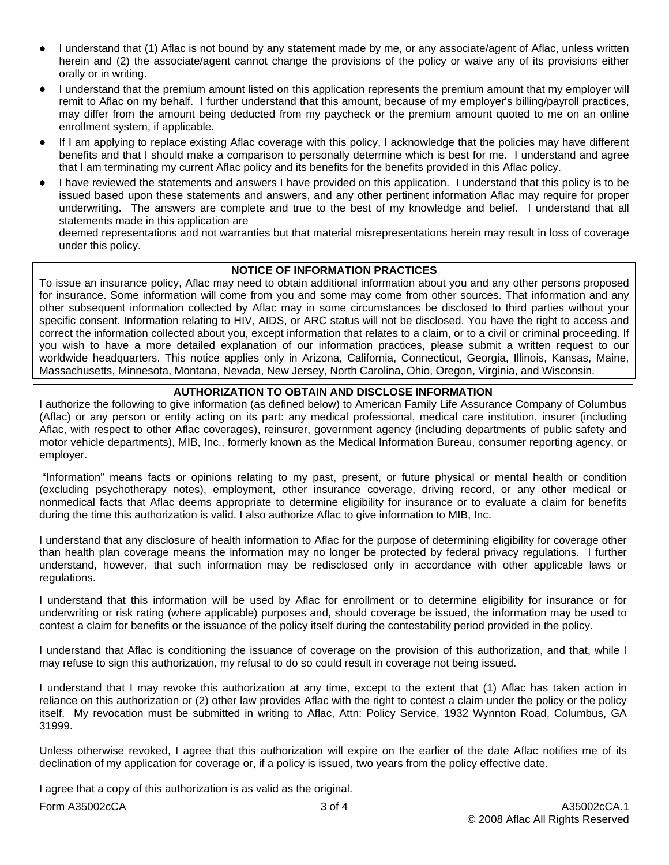- I understand that (1) Aflac is not bound by any statement made by me, or any associate/agent of Aflac, unless written herein and (2) the associate/agent cannot change the provisions of the policy or waive any of its provisions either orally or in writing.
- I understand that the premium amount listed on this application represents the premium amount that my employer will remit to Aflac on my behalf. I further understand that this amount, because of my employer's billing/payroll practices, may differ from the amount being deducted from my paycheck or the premium amount quoted to me on an online enrollment system, if applicable.
- If I am applying to replace existing Aflac coverage with this policy, I acknowledge that the policies may have different benefits and that I should make a comparison to personally determine which is best for me. I understand and agree that I am terminating my current Aflac policy and its benefits for the benefits provided in this Aflac policy.
- I have reviewed the statements and answers I have provided on this application. I understand that this policy is to be issued based upon these statements and answers, and any other pertinent information Aflac may require for proper underwriting. The answers are complete and true to the best of my knowledge and belief. I understand that all statements made in this application are

deemed representations and not warranties but that material misrepresentations herein may result in loss of coverage under this policy.

### **NOTICE OF INFORMATION PRACTICES**

To issue an insurance policy, Aflac may need to obtain additional information about you and any other persons proposed for insurance. Some information will come from you and some may come from other sources. That information and any other subsequent information collected by Aflac may in some circumstances be disclosed to third parties without your specific consent. Information relating to HIV, AIDS, or ARC status will not be disclosed. You have the right to access and correct the information collected about you, except information that relates to a claim, or to a civil or criminal proceeding. If you wish to have a more detailed explanation of our information practices, please submit a written request to our worldwide headquarters. This notice applies only in Arizona, California, Connecticut, Georgia, Illinois, Kansas, Maine, Massachusetts, Minnesota, Montana, Nevada, New Jersey, North Carolina, Ohio, Oregon, Virginia, and Wisconsin.

## **AUTHORIZATION TO OBTAIN AND DISCLOSE INFORMATION**

I authorize the following to give information (as defined below) to American Family Life Assurance Company of Columbus (Aflac) or any person or entity acting on its part: any medical professional, medical care institution, insurer (including Aflac, with respect to other Aflac coverages), reinsurer, government agency (including departments of public safety and motor vehicle departments), MIB, Inc., formerly known as the Medical Information Bureau, consumer reporting agency, or employer.

 "Information" means facts or opinions relating to my past, present, or future physical or mental health or condition (excluding psychotherapy notes), employment, other insurance coverage, driving record, or any other medical or nonmedical facts that Aflac deems appropriate to determine eligibility for insurance or to evaluate a claim for benefits during the time this authorization is valid. I also authorize Aflac to give information to MIB, Inc.

I understand that any disclosure of health information to Aflac for the purpose of determining eligibility for coverage other than health plan coverage means the information may no longer be protected by federal privacy regulations. I further understand, however, that such information may be redisclosed only in accordance with other applicable laws or regulations.

I understand that this information will be used by Aflac for enrollment or to determine eligibility for insurance or for underwriting or risk rating (where applicable) purposes and, should coverage be issued, the information may be used to contest a claim for benefits or the issuance of the policy itself during the contestability period provided in the policy.

I understand that Aflac is conditioning the issuance of coverage on the provision of this authorization, and that, while I may refuse to sign this authorization, my refusal to do so could result in coverage not being issued.

I understand that I may revoke this authorization at any time, except to the extent that (1) Aflac has taken action in reliance on this authorization or (2) other law provides Aflac with the right to contest a claim under the policy or the policy itself. My revocation must be submitted in writing to Aflac, Attn: Policy Service, 1932 Wynnton Road, Columbus, GA 31999.

Unless otherwise revoked, I agree that this authorization will expire on the earlier of the date Aflac notifies me of its declination of my application for coverage or, if a policy is issued, two years from the policy effective date.

I agree that a copy of this authorization is as valid as the original.